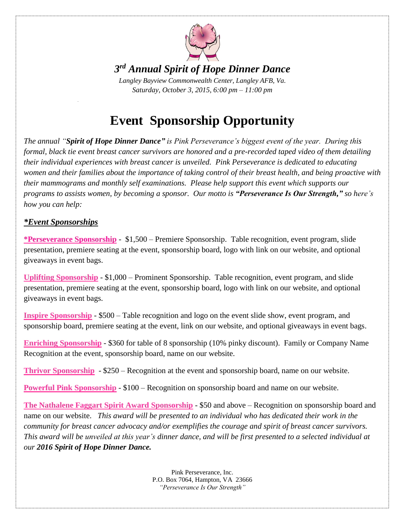

## *3 rd Annual Spirit of Hope Dinner Dance*

*Langley Bayview Commonwealth Center, Langley AFB, Va. Saturday, October 3, 2015, 6:00 pm – 11:00 pm*

# **Event Sponsorship Opportunity**

*The annual "Spirit of Hope Dinner Dance" is Pink Perseverance's biggest event of the year. During this formal, black tie event breast cancer survivors are honored and a pre-recorded taped video of them detailing their individual experiences with breast cancer is unveiled. Pink Perseverance is dedicated to educating women and their families about the importance of taking control of their breast health, and being proactive with their mammograms and monthly self examinations. Please help support this event which supports our programs to assists women, by becoming a sponsor. Our motto is "Perseverance Is Our Strength," so here's how you can help:*

#### *\*Event Sponsorships*

**\*Perseverance Sponsorship** - \$1,500 – Premiere Sponsorship. Table recognition, event program, slide presentation, premiere seating at the event, sponsorship board, logo with link on our website, and optional giveaways in event bags.

**Uplifting Sponsorship** - \$1,000 – Prominent Sponsorship. Table recognition, event program, and slide presentation, premiere seating at the event, sponsorship board, logo with link on our website, and optional giveaways in event bags.

**Inspire Sponsorship** - \$500 – Table recognition and logo on the event slide show, event program, and sponsorship board, premiere seating at the event, link on our website, and optional giveaways in event bags.

**Enriching Sponsorship** - \$360 for table of 8 sponsorship (10% pinky discount). Family or Company Name Recognition at the event, sponsorship board, name on our website.

**Thrivor Sponsorship** - \$250 – Recognition at the event and sponsorship board, name on our website.

**Powerful Pink Sponsorship** - \$100 – Recognition on sponsorship board and name on our website.

**The Nathalene Faggart Spirit Award Sponsorship** - \$50 and above – Recognition on sponsorship board and name on our website. *This award will be presented to an individual who has dedicated their work in the community for breast cancer advocacy and/or exemplifies the courage and spirit of breast cancer survivors. This award will be unveiled at this year's dinner dance, and will be first presented to a selected individual at our 2016 Spirit of Hope Dinner Dance.*

> Pink Perseverance, Inc. P.O. Box 7064, Hampton, VA 23666 *"Perseverance Is Our Strength"*